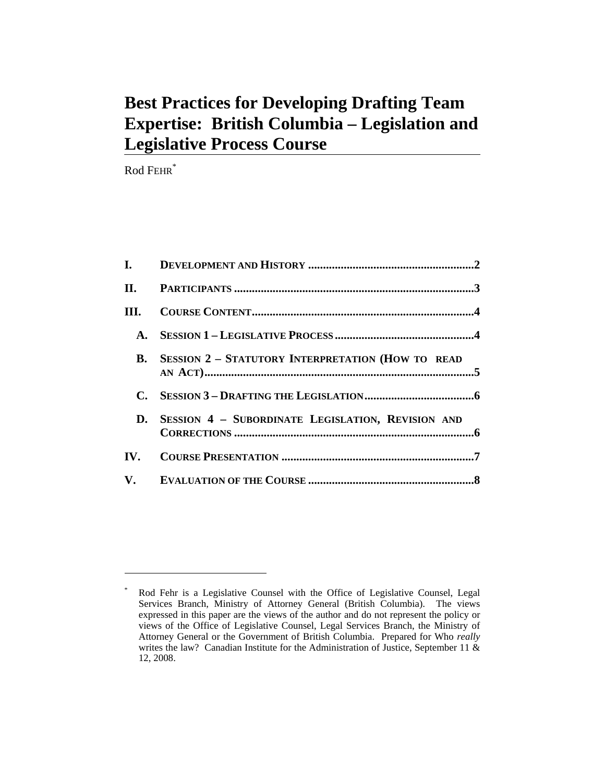# **Best Practices for Developing Drafting Team Expertise: British Columbia – Legislation and Legislative Process Course**

Rod FEHR\*

 $\overline{a}$ 

| III.           |                                                          |  |
|----------------|----------------------------------------------------------|--|
| <b>A.</b>      |                                                          |  |
| $\mathbf{R}$ . | <b>SESSION 2 - STATUTORY INTERPRETATION (HOW TO READ</b> |  |
| $\mathbf{C}$ . |                                                          |  |
| D.             | SESSION 4 - SUBORDINATE LEGISLATION, REVISION AND        |  |
|                |                                                          |  |
|                |                                                          |  |

<sup>\*</sup> Rod Fehr is a Legislative Counsel with the Office of Legislative Counsel, Legal Services Branch, Ministry of Attorney General (British Columbia). The views expressed in this paper are the views of the author and do not represent the policy or views of the Office of Legislative Counsel, Legal Services Branch, the Ministry of Attorney General or the Government of British Columbia. Prepared for Who *really* writes the law? Canadian Institute for the Administration of Justice, September 11 & 12, 2008.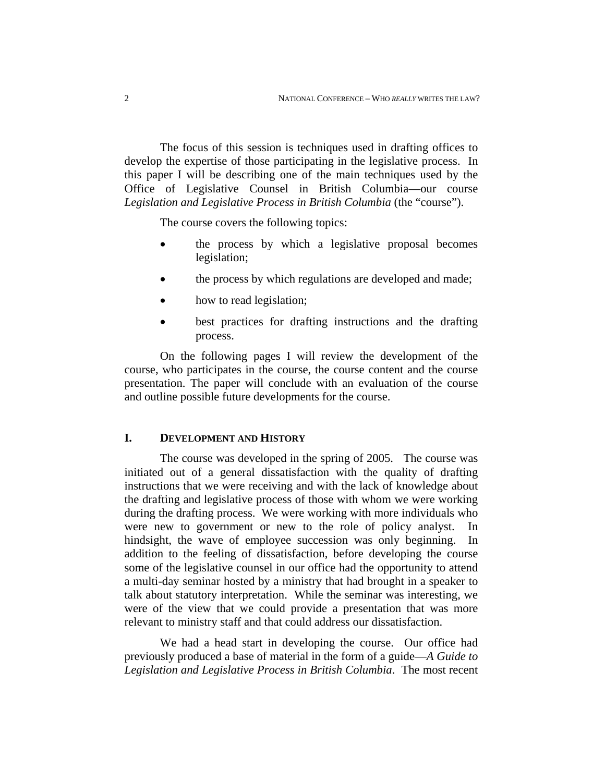The focus of this session is techniques used in drafting offices to develop the expertise of those participating in the legislative process. In this paper I will be describing one of the main techniques used by the Office of Legislative Counsel in British Columbia—our course Legislation and Legislative Process in British Columbia (the "course").

The course covers the following topics:

- the process by which a legislative proposal becomes legislation;
- the process by which regulations are developed and made;
- how to read legislation;
- best practices for drafting instructions and the drafting process.

On the following pages I will review the development of the course, who participates in the course, the course content and the course presentation. The paper will conclude with an evaluation of the course and outline possible future developments for the course.

## **I. DEVELOPMENT AND HISTORY**

The course was developed in the spring of 2005. The course was initiated out of a general dissatisfaction with the quality of drafting instructions that we were receiving and with the lack of knowledge about the drafting and legislative process of those with whom we were working during the drafting process. We were working with more individuals who were new to government or new to the role of policy analyst. In hindsight, the wave of employee succession was only beginning. In addition to the feeling of dissatisfaction, before developing the course some of the legislative counsel in our office had the opportunity to attend a multi-day seminar hosted by a ministry that had brought in a speaker to talk about statutory interpretation. While the seminar was interesting, we were of the view that we could provide a presentation that was more relevant to ministry staff and that could address our dissatisfaction.

We had a head start in developing the course. Our office had previously produced a base of material in the form of a guide—*A Guide to Legislation and Legislative Process in British Columbia*. The most recent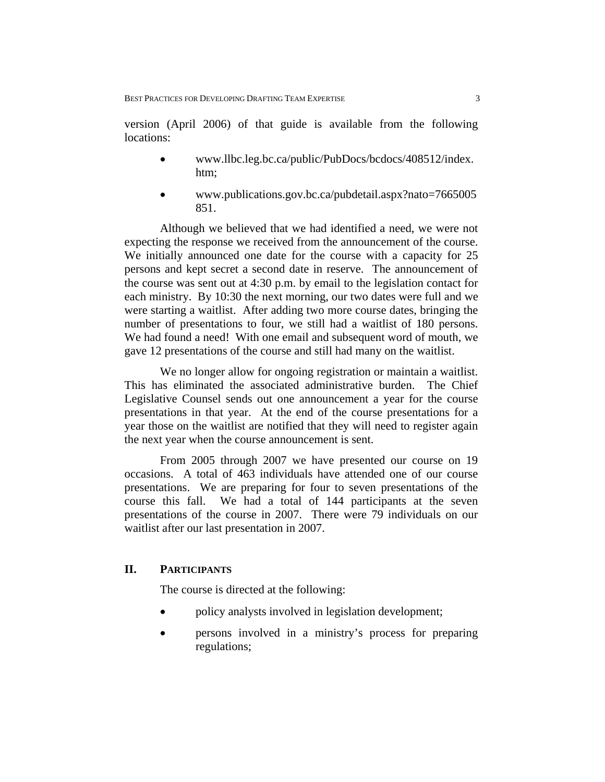version (April 2006) of that guide is available from the following locations:

- www.llbc.leg.bc.ca/public/PubDocs/bcdocs/408512/index. htm;
- www.publications.gov.bc.ca/pubdetail.aspx?nato=7665005 851.

Although we believed that we had identified a need, we were not expecting the response we received from the announcement of the course. We initially announced one date for the course with a capacity for 25 persons and kept secret a second date in reserve. The announcement of the course was sent out at 4:30 p.m. by email to the legislation contact for each ministry. By 10:30 the next morning, our two dates were full and we were starting a waitlist. After adding two more course dates, bringing the number of presentations to four, we still had a waitlist of 180 persons. We had found a need! With one email and subsequent word of mouth, we gave 12 presentations of the course and still had many on the waitlist.

We no longer allow for ongoing registration or maintain a waitlist. This has eliminated the associated administrative burden. The Chief Legislative Counsel sends out one announcement a year for the course presentations in that year. At the end of the course presentations for a year those on the waitlist are notified that they will need to register again the next year when the course announcement is sent.

From 2005 through 2007 we have presented our course on 19 occasions. A total of 463 individuals have attended one of our course presentations. We are preparing for four to seven presentations of the course this fall. We had a total of 144 participants at the seven presentations of the course in 2007. There were 79 individuals on our waitlist after our last presentation in 2007.

### **II. PARTICIPANTS**

The course is directed at the following:

- policy analysts involved in legislation development;
- persons involved in a ministry's process for preparing regulations;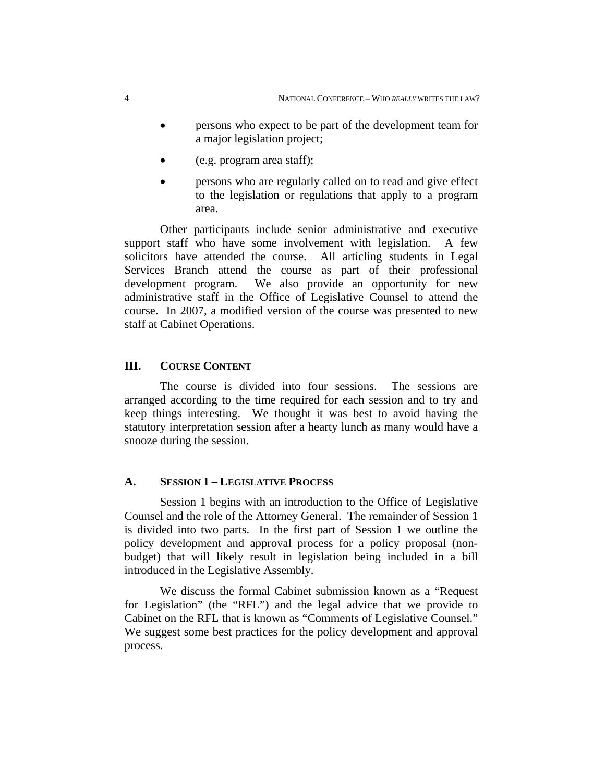- persons who expect to be part of the development team for a major legislation project;
- (e.g. program area staff);
- persons who are regularly called on to read and give effect to the legislation or regulations that apply to a program area.

Other participants include senior administrative and executive support staff who have some involvement with legislation. A few solicitors have attended the course. All articling students in Legal Services Branch attend the course as part of their professional development program. We also provide an opportunity for new administrative staff in the Office of Legislative Counsel to attend the course. In 2007, a modified version of the course was presented to new staff at Cabinet Operations.

#### **III. COURSE CONTENT**

The course is divided into four sessions. The sessions are arranged according to the time required for each session and to try and keep things interesting. We thought it was best to avoid having the statutory interpretation session after a hearty lunch as many would have a snooze during the session.

#### **A. SESSION 1 – LEGISLATIVE PROCESS**

Session 1 begins with an introduction to the Office of Legislative Counsel and the role of the Attorney General. The remainder of Session 1 is divided into two parts. In the first part of Session 1 we outline the policy development and approval process for a policy proposal (nonbudget) that will likely result in legislation being included in a bill introduced in the Legislative Assembly.

We discuss the formal Cabinet submission known as a "Request for Legislation" (the "RFL") and the legal advice that we provide to Cabinet on the RFL that is known as "Comments of Legislative Counsel." We suggest some best practices for the policy development and approval process.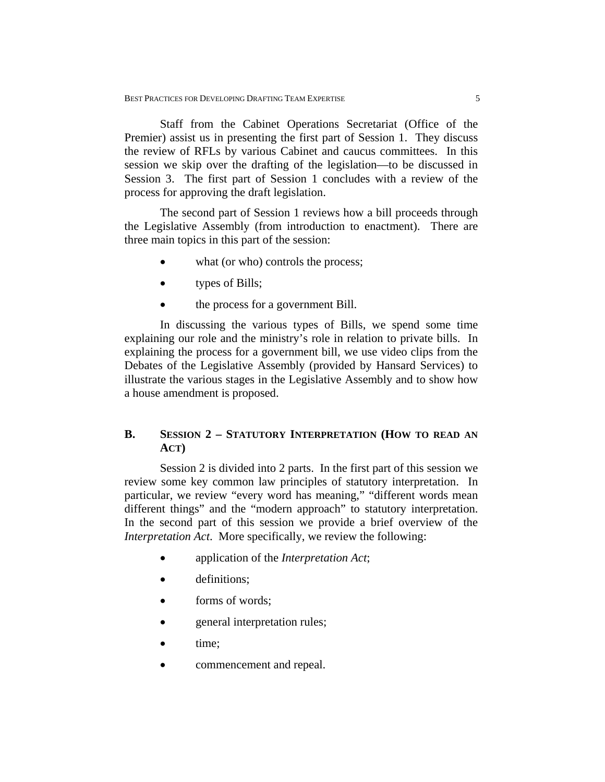Staff from the Cabinet Operations Secretariat (Office of the Premier) assist us in presenting the first part of Session 1. They discuss the review of RFLs by various Cabinet and caucus committees. In this session we skip over the drafting of the legislation—to be discussed in Session 3. The first part of Session 1 concludes with a review of the process for approving the draft legislation.

The second part of Session 1 reviews how a bill proceeds through the Legislative Assembly (from introduction to enactment). There are three main topics in this part of the session:

- what (or who) controls the process;
- types of Bills;
- the process for a government Bill.

In discussing the various types of Bills, we spend some time explaining our role and the ministry's role in relation to private bills. In explaining the process for a government bill, we use video clips from the Debates of the Legislative Assembly (provided by Hansard Services) to illustrate the various stages in the Legislative Assembly and to show how a house amendment is proposed.

## **B. SESSION 2 – STATUTORY INTERPRETATION (HOW TO READ AN ACT)**

Session 2 is divided into 2 parts. In the first part of this session we review some key common law principles of statutory interpretation. In particular, we review "every word has meaning," "different words mean different things" and the "modern approach" to statutory interpretation. In the second part of this session we provide a brief overview of the *Interpretation Act*. More specifically, we review the following:

- application of the *Interpretation Act*;
- definitions:
- forms of words;
- general interpretation rules;
- time;
- commencement and repeal.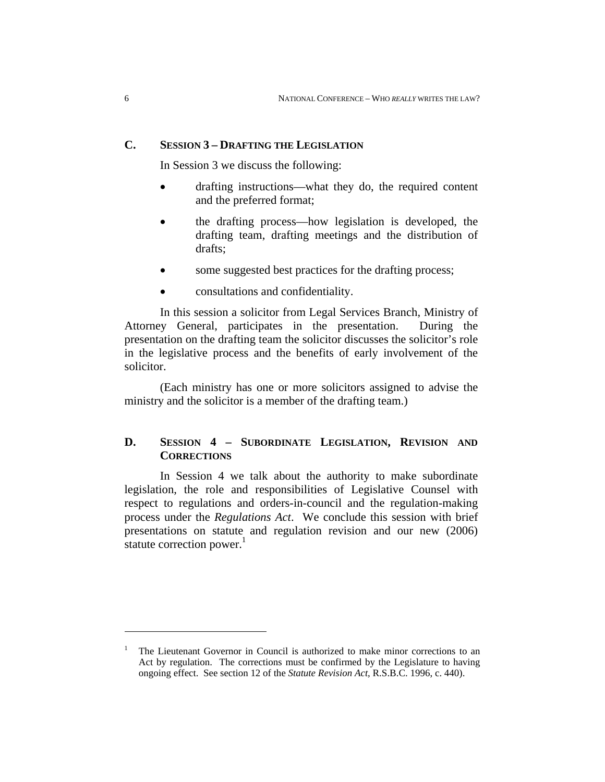#### **C. SESSION 3 – DRAFTING THE LEGISLATION**

In Session 3 we discuss the following:

- drafting instructions—what they do, the required content and the preferred format;
- the drafting process—how legislation is developed, the drafting team, drafting meetings and the distribution of drafts;
- some suggested best practices for the drafting process;
- consultations and confidentiality.

In this session a solicitor from Legal Services Branch, Ministry of Attorney General, participates in the presentation. During the presentation on the drafting team the solicitor discusses the solicitor's role in the legislative process and the benefits of early involvement of the solicitor.

(Each ministry has one or more solicitors assigned to advise the ministry and the solicitor is a member of the drafting team.)

## **D. SESSION 4 – SUBORDINATE LEGISLATION, REVISION AND CORRECTIONS**

In Session 4 we talk about the authority to make subordinate legislation, the role and responsibilities of Legislative Counsel with respect to regulations and orders-in-council and the regulation-making process under the *Regulations Act*. We conclude this session with brief presentations on statute and regulation revision and our new (2006) statute correction power. $<sup>1</sup>$ </sup>

 $\overline{a}$ 

<sup>&</sup>lt;sup>1</sup> The Lieutenant Governor in Council is authorized to make minor corrections to an Act by regulation. The corrections must be confirmed by the Legislature to having ongoing effect. See section 12 of the *Statute Revision Act*, R.S.B.C. 1996, c. 440).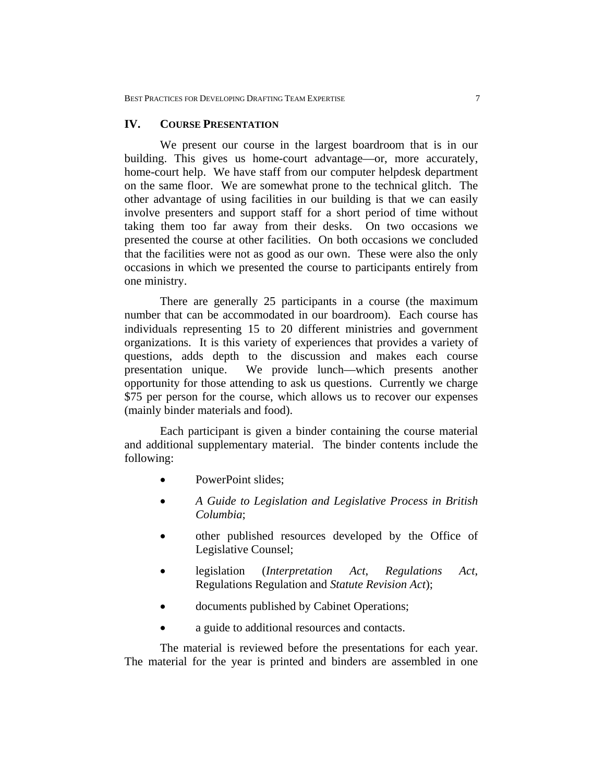#### **IV. COURSE PRESENTATION**

We present our course in the largest boardroom that is in our building. This gives us home-court advantage—or, more accurately, home-court help. We have staff from our computer helpdesk department on the same floor. We are somewhat prone to the technical glitch. The other advantage of using facilities in our building is that we can easily involve presenters and support staff for a short period of time without taking them too far away from their desks. On two occasions we presented the course at other facilities. On both occasions we concluded that the facilities were not as good as our own. These were also the only occasions in which we presented the course to participants entirely from one ministry.

There are generally 25 participants in a course (the maximum number that can be accommodated in our boardroom). Each course has individuals representing 15 to 20 different ministries and government organizations. It is this variety of experiences that provides a variety of questions, adds depth to the discussion and makes each course presentation unique. We provide lunch—which presents another opportunity for those attending to ask us questions. Currently we charge \$75 per person for the course, which allows us to recover our expenses (mainly binder materials and food).

Each participant is given a binder containing the course material and additional supplementary material. The binder contents include the following:

- PowerPoint slides;
- *A Guide to Legislation and Legislative Process in British Columbia*;
- other published resources developed by the Office of Legislative Counsel;
- legislation (*Interpretation Act*, *Regulations Act*, Regulations Regulation and *Statute Revision Act*);
- documents published by Cabinet Operations;
- a guide to additional resources and contacts.

The material is reviewed before the presentations for each year. The material for the year is printed and binders are assembled in one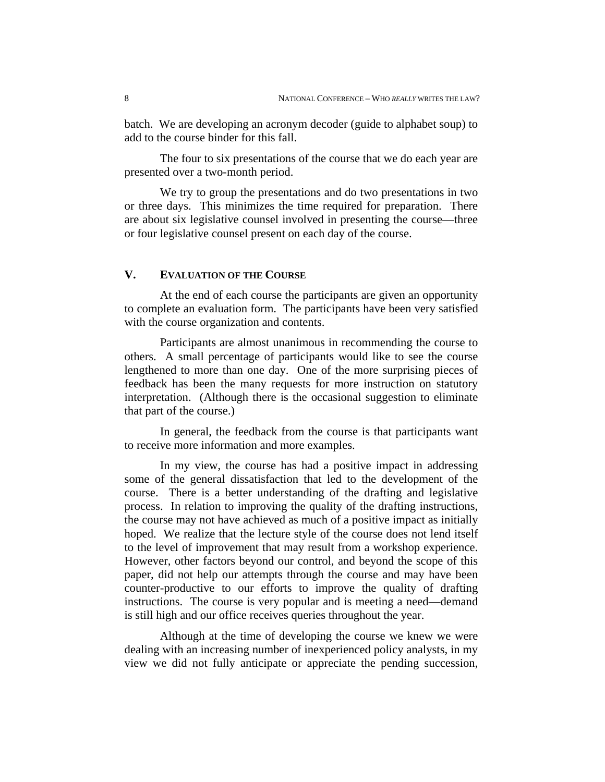batch. We are developing an acronym decoder (guide to alphabet soup) to add to the course binder for this fall.

The four to six presentations of the course that we do each year are presented over a two-month period.

We try to group the presentations and do two presentations in two or three days. This minimizes the time required for preparation. There are about six legislative counsel involved in presenting the course—three or four legislative counsel present on each day of the course.

#### **V. EVALUATION OF THE COURSE**

At the end of each course the participants are given an opportunity to complete an evaluation form. The participants have been very satisfied with the course organization and contents.

Participants are almost unanimous in recommending the course to others. A small percentage of participants would like to see the course lengthened to more than one day. One of the more surprising pieces of feedback has been the many requests for more instruction on statutory interpretation. (Although there is the occasional suggestion to eliminate that part of the course.)

In general, the feedback from the course is that participants want to receive more information and more examples.

In my view, the course has had a positive impact in addressing some of the general dissatisfaction that led to the development of the course. There is a better understanding of the drafting and legislative process. In relation to improving the quality of the drafting instructions, the course may not have achieved as much of a positive impact as initially hoped. We realize that the lecture style of the course does not lend itself to the level of improvement that may result from a workshop experience. However, other factors beyond our control, and beyond the scope of this paper, did not help our attempts through the course and may have been counter-productive to our efforts to improve the quality of drafting instructions. The course is very popular and is meeting a need—demand is still high and our office receives queries throughout the year.

Although at the time of developing the course we knew we were dealing with an increasing number of inexperienced policy analysts, in my view we did not fully anticipate or appreciate the pending succession,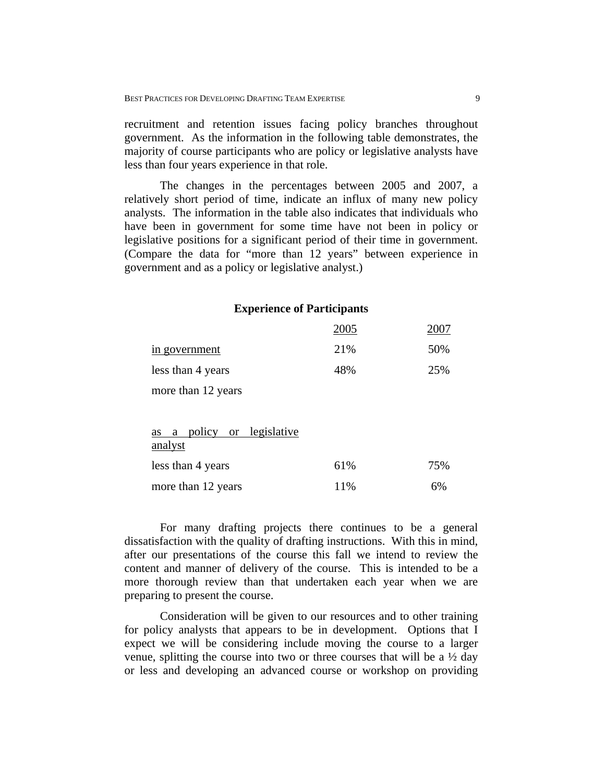recruitment and retention issues facing policy branches throughout government. As the information in the following table demonstrates, the majority of course participants who are policy or legislative analysts have less than four years experience in that role.

The changes in the percentages between 2005 and 2007, a relatively short period of time, indicate an influx of many new policy analysts. The information in the table also indicates that individuals who have been in government for some time have not been in policy or legislative positions for a significant period of their time in government. (Compare the data for "more than 12 years" between experience in government and as a policy or legislative analyst.)

#### **Experience of Participants**

|                                             | 2005 | 2007 |
|---------------------------------------------|------|------|
| in government                               | 21%  | 50%  |
| less than 4 years                           | 48%  | 25%  |
| more than 12 years                          |      |      |
|                                             |      |      |
| policy or legislative<br>a<br>as<br>analyst |      |      |

| less than 4 years  | 61% | 75% |
|--------------------|-----|-----|
| more than 12 years | 11% | 6%  |

For many drafting projects there continues to be a general dissatisfaction with the quality of drafting instructions. With this in mind, after our presentations of the course this fall we intend to review the content and manner of delivery of the course. This is intended to be a more thorough review than that undertaken each year when we are preparing to present the course.

Consideration will be given to our resources and to other training for policy analysts that appears to be in development. Options that I expect we will be considering include moving the course to a larger venue, splitting the course into two or three courses that will be a  $\frac{1}{2}$  day or less and developing an advanced course or workshop on providing